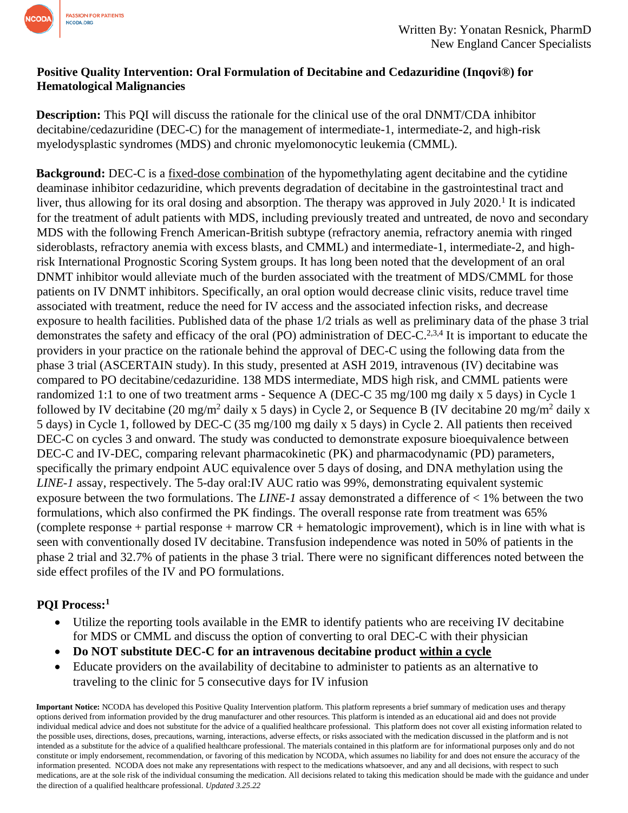

## **Positive Quality Intervention: Oral Formulation of Decitabine and Cedazuridine (Inqovi®) for Hematological Malignancies**

**Description:** This PQI will discuss the rationale for the clinical use of the oral DNMT/CDA inhibitor decitabine/cedazuridine (DEC-C) for the management of intermediate-1, intermediate-2, and high-risk myelodysplastic syndromes (MDS) and chronic myelomonocytic leukemia (CMML).

**Background:** DEC-C is a fixed-dose combination of the hypomethylating agent decitabine and the cytidine deaminase inhibitor cedazuridine, which prevents degradation of decitabine in the gastrointestinal tract and liver, thus allowing for its oral dosing and absorption. The therapy was approved in July 2020.<sup>1</sup> It is indicated for the treatment of adult patients with MDS, including previously treated and untreated, de novo and secondary MDS with the following French American-British subtype (refractory anemia, refractory anemia with ringed sideroblasts, refractory anemia with excess blasts, and CMML) and intermediate-1, intermediate-2, and highrisk International Prognostic Scoring System groups. It has long been noted that the development of an oral DNMT inhibitor would alleviate much of the burden associated with the treatment of MDS/CMML for those patients on IV DNMT inhibitors. Specifically, an oral option would decrease clinic visits, reduce travel time associated with treatment, reduce the need for IV access and the associated infection risks, and decrease exposure to health facilities. Published data of the phase 1/2 trials as well as preliminary data of the phase 3 trial demonstrates the safety and efficacy of the oral (PO) administration of DEC-C.<sup>2,3,4</sup> It is important to educate the providers in your practice on the rationale behind the approval of DEC-C using the following data from the phase 3 trial (ASCERTAIN study). In this study, presented at ASH 2019, intravenous (IV) decitabine was compared to PO decitabine/cedazuridine. 138 MDS intermediate, MDS high risk, and CMML patients were randomized 1:1 to one of two treatment arms - Sequence A (DEC-C 35 mg/100 mg daily x 5 days) in Cycle 1 followed by IV decitabine (20 mg/m<sup>2</sup> daily x 5 days) in Cycle 2, or Sequence B (IV decitabine 20 mg/m<sup>2</sup> daily x 5 days) in Cycle 1, followed by DEC-C (35 mg/100 mg daily x 5 days) in Cycle 2. All patients then received DEC-C on cycles 3 and onward. The study was conducted to demonstrate exposure bioequivalence between DEC-C and IV-DEC, comparing relevant pharmacokinetic (PK) and pharmacodynamic (PD) parameters, specifically the primary endpoint AUC equivalence over 5 days of dosing, and DNA methylation using the *LINE-1* assay, respectively. The 5-day oral:IV AUC ratio was 99%, demonstrating equivalent systemic exposure between the two formulations. The *LINE-1* assay demonstrated a difference of < 1% between the two formulations, which also confirmed the PK findings. The overall response rate from treatment was 65% (complete response + partial response + marrow  $CR$  + hematologic improvement), which is in line with what is seen with conventionally dosed IV decitabine. Transfusion independence was noted in 50% of patients in the phase 2 trial and 32.7% of patients in the phase 3 trial. There were no significant differences noted between the side effect profiles of the IV and PO formulations.

## **PQI Process:<sup>1</sup>**

- Utilize the reporting tools available in the EMR to identify patients who are receiving IV decitabine for MDS or CMML and discuss the option of converting to oral DEC-C with their physician
- **Do NOT substitute DEC-C for an intravenous decitabine product within a cycle**
- Educate providers on the availability of decitabine to administer to patients as an alternative to traveling to the clinic for 5 consecutive days for IV infusion

**Important Notice:** NCODA has developed this Positive Quality Intervention platform. This platform represents a brief summary of medication uses and therapy options derived from information provided by the drug manufacturer and other resources. This platform is intended as an educational aid and does not provide individual medical advice and does not substitute for the advice of a qualified healthcare professional. This platform does not cover all existing information related to the possible uses, directions, doses, precautions, warning, interactions, adverse effects, or risks associated with the medication discussed in the platform and is not intended as a substitute for the advice of a qualified healthcare professional. The materials contained in this platform are for informational purposes only and do not constitute or imply endorsement, recommendation, or favoring of this medication by NCODA, which assumes no liability for and does not ensure the accuracy of the information presented. NCODA does not make any representations with respect to the medications whatsoever, and any and all decisions, with respect to such medications, are at the sole risk of the individual consuming the medication. All decisions related to taking this medication should be made with the guidance and under the direction of a qualified healthcare professional. *Updated 3.25.22*